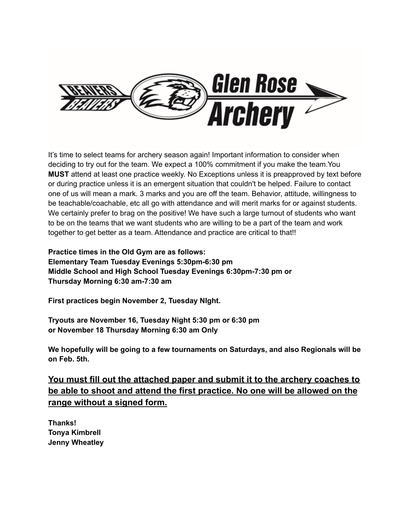

It's time to select teams for archery season again! Important information to consider when deciding to try out for the team. We expect a 100% commitment if you make the team.You **MUST** attend at least one practice weekly. No Exceptions unless it is preapproved by text before or during practice unless it is an emergent situation that couldn't be helped. Failure to contact one of us will mean a mark. 3 marks and you are off the team. Behavior, attitude, willingness to be teachable/coachable, etc all go with attendance and will merit marks for or against students. We certainly prefer to brag on the positive! We have such a large turnout of students who want to be on the teams that we want students who are willing to be a part of the team and work together to get better as a team. Attendance and practice are critical to that!!

**Practice times in the Old Gym are as follows: Elementary Team Tuesday Evenings 5:30pm-6:30 pm Middle School and High School Tuesday Evenings 6:30pm-7:30 pm or Thursday Morning 6:30 am-7:30 am**

**First practices begin November 2, Tuesday NIght.**

**Tryouts are November 16, Tuesday Night 5:30 pm or 6:30 pm or November 18 Thursday Morning 6:30 am Only**

**We hopefully will be going to a few tournaments on Saturdays, and also Regionals will be on Feb. 5th.**

**You must fill out the attached paper and submit it to the archery coaches to be able to shoot and attend the first practice. No one will be allowed on the range without a signed form.**

**Thanks! Tonya Kimbrell Jenny Wheatley**